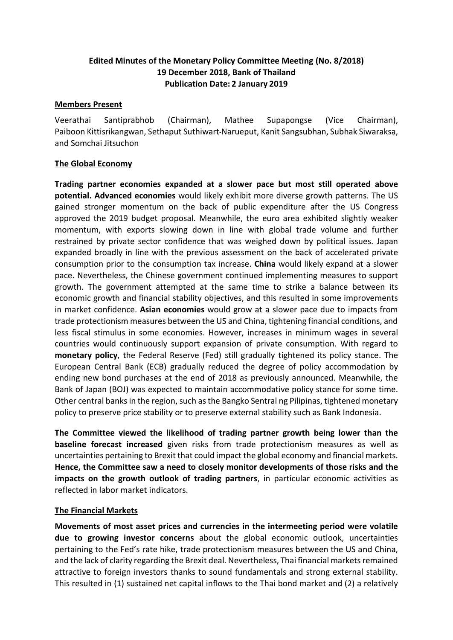# **Edited Minutes of the Monetary Policy Committee Meeting (No. 8/2018) 19 December 2018, Bank of Thailand Publication Date: 2 January 2019**

## **Members Present**

Veerathai Santiprabhob (Chairman), Mathee Supapongse (Vice Chairman), Paiboon Kittisrikangwan, Sethaput Suthiwart-Narueput, Kanit Sangsubhan, Subhak Siwaraksa, and Somchai Jitsuchon

## **The Global Economy**

**Trading partner economies expanded at a slower pace but most still operated above potential. Advanced economies** would likely exhibit more diverse growth patterns. The US gained stronger momentum on the back of public expenditure after the US Congress approved the 2019 budget proposal. Meanwhile, the euro area exhibited slightly weaker momentum, with exports slowing down in line with global trade volume and further restrained by private sector confidence that was weighed down by political issues. Japan expanded broadly in line with the previous assessment on the back of accelerated private consumption prior to the consumption tax increase. **China** would likely expand at a slower pace. Nevertheless, the Chinese government continued implementing measures to support growth. The government attempted at the same time to strike a balance between its economic growth and financial stability objectives, and this resulted in some improvements in market confidence. **Asian economies** would grow at a slower pace due to impacts from trade protectionism measures between the US and China, tightening financial conditions, and less fiscal stimulus in some economies. However, increases in minimum wages in several countries would continuously support expansion of private consumption. With regard to **monetary policy**, the Federal Reserve (Fed) still gradually tightened its policy stance. The European Central Bank (ECB) gradually reduced the degree of policy accommodation by ending new bond purchases at the end of 2018 as previously announced. Meanwhile, the Bank of Japan (BOJ) was expected to maintain accommodative policy stance for some time. Other central banks in the region, such as the Bangko Sentral ng Pilipinas, tightened monetary policy to preserve price stability or to preserve external stability such as Bank Indonesia.

**The Committee viewed the likelihood of trading partner growth being lower than the baseline forecast increased** given risks from trade protectionism measures as well as uncertainties pertaining to Brexit that could impact the global economy and financial markets. **Hence, the Committee saw a need to closely monitor developments of those risks and the impacts on the growth outlook of trading partners**, in particular economic activities as reflected in labor market indicators.

## **The Financial Markets**

**Movements of most asset prices and currencies in the intermeeting period were volatile due to growing investor concerns** about the global economic outlook, uncertainties pertaining to the Fed's rate hike, trade protectionism measures between the US and China, and the lack of clarity regarding the Brexit deal. Nevertheless, Thai financial markets remained attractive to foreign investors thanks to sound fundamentals and strong external stability. This resulted in (1) sustained net capital inflows to the Thai bond market and (2) a relatively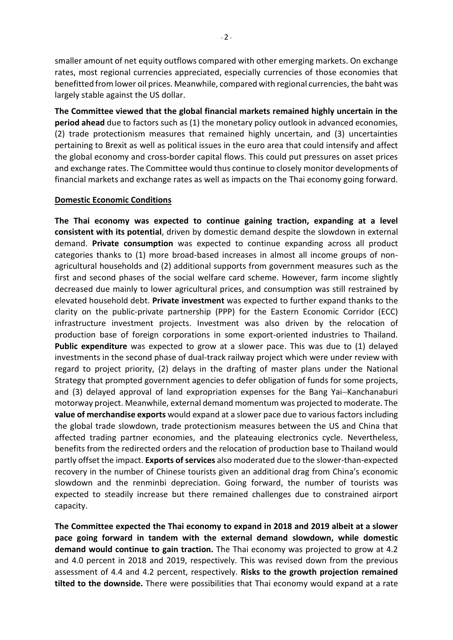smaller amount of net equity outflows compared with other emerging markets. On exchange rates, most regional currencies appreciated, especially currencies of those economies that benefitted from lower oil prices. Meanwhile, compared with regional currencies, the baht was largely stable against the US dollar.

**The Committee viewed that the global financial markets remained highly uncertain in the period ahead** due to factors such as (1) the monetary policy outlook in advanced economies, (2) trade protectionism measures that remained highly uncertain, and (3) uncertainties pertaining to Brexit as well as political issues in the euro area that could intensify and affect the global economy and cross-border capital flows. This could put pressures on asset prices and exchange rates. The Committee would thus continue to closely monitor developments of financial markets and exchange rates as well as impacts on the Thai economy going forward.

## **Domestic Economic Conditions**

**The Thai economy was expected to continue gaining traction, expanding at a level consistent with its potential**, driven by domestic demand despite the slowdown in external demand. **Private consumption** was expected to continue expanding across all product categories thanks to (1) more broad-based increases in almost all income groups of nonagricultural households and (2) additional supports from government measures such as the first and second phases of the social welfare card scheme. However, farm income slightly decreased due mainly to lower agricultural prices, and consumption was still restrained by elevated household debt. **Private investment** was expected to further expand thanks to the clarity on the public-private partnership (PPP) for the Eastern Economic Corridor (ECC) infrastructure investment projects. Investment was also driven by the relocation of production base of foreign corporations in some export-oriented industries to Thailand. **Public expenditure** was expected to grow at a slower pace. This was due to (1) delayed investments in the second phase of dual-track railway project which were under review with regard to project priority, (2) delays in the drafting of master plans under the National Strategy that prompted government agencies to defer obligation of funds for some projects, and (3) delayed approval of land expropriation expenses for the Bang Yai-Kanchanaburi motorway project. Meanwhile, external demand momentum was projected to moderate. The **value of merchandise exports** would expand at a slower pace due to various factors including the global trade slowdown, trade protectionism measures between the US and China that affected trading partner economies, and the plateauing electronics cycle. Nevertheless, benefits from the redirected orders and the relocation of production base to Thailand would partly offset the impact. **Exports of services** also moderated due to the slower-than-expected recovery in the number of Chinese tourists given an additional drag from China's economic slowdown and the renminbi depreciation. Going forward, the number of tourists was expected to steadily increase but there remained challenges due to constrained airport capacity.

**The Committee expected the Thai economy to expand in 2018 and 2019 albeit at a slower pace going forward in tandem with the external demand slowdown, while domestic demand would continue to gain traction.** The Thai economy was projected to grow at 4.2 and 4.0 percent in 2018 and 2019, respectively. This was revised down from the previous assessment of 4.4 and 4.2 percent, respectively. **Risks to the growth projection remained tilted to the downside.** There were possibilities that Thai economy would expand at a rate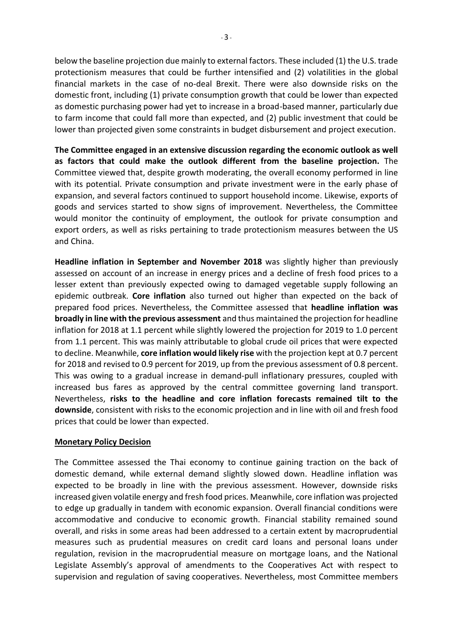below the baseline projection due mainly to external factors. These included (1) the U.S. trade protectionism measures that could be further intensified and (2) volatilities in the global financial markets in the case of no-deal Brexit. There were also downside risks on the domestic front, including (1) private consumption growth that could be lower than expected as domestic purchasing power had yet to increase in a broad-based manner, particularly due to farm income that could fall more than expected, and (2) public investment that could be lower than projected given some constraints in budget disbursement and project execution.

**The Committee engaged in an extensive discussion regarding the economic outlook as well as factors that could make the outlook different from the baseline projection.** The Committee viewed that, despite growth moderating, the overall economy performed in line with its potential. Private consumption and private investment were in the early phase of expansion, and several factors continued to support household income. Likewise, exports of goods and services started to show signs of improvement. Nevertheless, the Committee would monitor the continuity of employment, the outlook for private consumption and export orders, as well as risks pertaining to trade protectionism measures between the US and China.

**Headline inflation in September and November 2018** was slightly higher than previously assessed on account of an increase in energy prices and a decline of fresh food prices to a lesser extent than previously expected owing to damaged vegetable supply following an epidemic outbreak. **Core inflation** also turned out higher than expected on the back of prepared food prices. Nevertheless, the Committee assessed that **headline inflation was broadly in line with the previous assessment** and thus maintained the projection for headline inflation for 2018 at 1.1 percent while slightly lowered the projection for 2019 to 1.0 percent from 1.1 percent. This was mainly attributable to global crude oil prices that were expected to decline. Meanwhile, **core inflation would likely rise** with the projection kept at 0.7 percent for 2018 and revised to 0.9 percent for 2019, up from the previous assessment of 0.8 percent. This was owing to a gradual increase in demand-pull inflationary pressures, coupled with increased bus fares as approved by the central committee governing land transport. Nevertheless, **risks to the headline and core inflation forecasts remained tilt to the downside**, consistent with risks to the economic projection and in line with oil and fresh food prices that could be lower than expected.

## **Monetary Policy Decision**

The Committee assessed the Thai economy to continue gaining traction on the back of domestic demand, while external demand slightly slowed down. Headline inflation was expected to be broadly in line with the previous assessment. However, downside risks increased given volatile energy and fresh food prices. Meanwhile, core inflation was projected to edge up gradually in tandem with economic expansion. Overall financial conditions were accommodative and conducive to economic growth. Financial stability remained sound overall, and risks in some areas had been addressed to a certain extent by macroprudential measures such as prudential measures on credit card loans and personal loans under regulation, revision in the macroprudential measure on mortgage loans, and the National Legislate Assembly's approval of amendments to the Cooperatives Act with respect to supervision and regulation of saving cooperatives. Nevertheless, most Committee members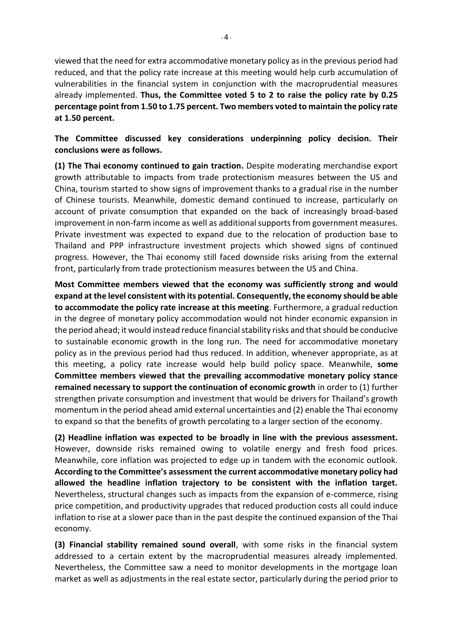$-4 -$ 

viewed that the need for extra accommodative monetary policy as in the previous period had reduced, and that the policy rate increase at this meeting would help curb accumulation of vulnerabilities in the financial system in conjunction with the macroprudential measures already implemented. **Thus, the Committee voted 5 to 2 to raise the policy rate by 0.25 percentage point from 1.50 to 1.75 percent. Two members voted to maintain the policy rate at 1.50 percent.**

**The Committee discussed key considerations underpinning policy decision. Their conclusions were as follows.**

**(1) The Thai economy continued to gain traction.** Despite moderating merchandise export growth attributable to impacts from trade protectionism measures between the US and China, tourism started to show signs of improvement thanks to a gradual rise in the number of Chinese tourists. Meanwhile, domestic demand continued to increase, particularly on account of private consumption that expanded on the back of increasingly broad-based improvement in non-farm income as well as additional supports from government measures. Private investment was expected to expand due to the relocation of production base to Thailand and PPP infrastructure investment projects which showed signs of continued progress. However, the Thai economy still faced downside risks arising from the external front, particularly from trade protectionism measures between the US and China.

**Most Committee members viewed that the economy was sufficiently strong and would expand at the level consistent with its potential. Consequently, the economy should be able to accommodate the policy rate increase at this meeting**. Furthermore, a gradual reduction in the degree of monetary policy accommodation would not hinder economic expansion in the period ahead; it would instead reduce financial stability risks and that should be conducive to sustainable economic growth in the long run. The need for accommodative monetary policy as in the previous period had thus reduced. In addition, whenever appropriate, as at this meeting, a policy rate increase would help build policy space. Meanwhile, **some Committee members viewed that the prevailing accommodative monetary policy stance remained necessary to support the continuation of economic growth** in order to (1) further strengthen private consumption and investment that would be drivers for Thailand's growth momentum in the period ahead amid external uncertainties and (2) enable the Thai economy to expand so that the benefits of growth percolating to a larger section of the economy.

**(2) Headline inflation was expected to be broadly in line with the previous assessment.** However, downside risks remained owing to volatile energy and fresh food prices. Meanwhile, core inflation was projected to edge up in tandem with the economic outlook. **According to the Committee's assessment the current accommodative monetary policy had allowed the headline inflation trajectory to be consistent with the inflation target.** Nevertheless, structural changes such as impacts from the expansion of e-commerce, rising price competition, and productivity upgrades that reduced production costs all could induce inflation to rise at a slower pace than in the past despite the continued expansion of the Thai economy.

**(3) Financial stability remained sound overall**, with some risks in the financial system addressed to a certain extent by the macroprudential measures already implemented. Nevertheless, the Committee saw a need to monitor developments in the mortgage loan market as well as adjustments in the real estate sector, particularly during the period prior to